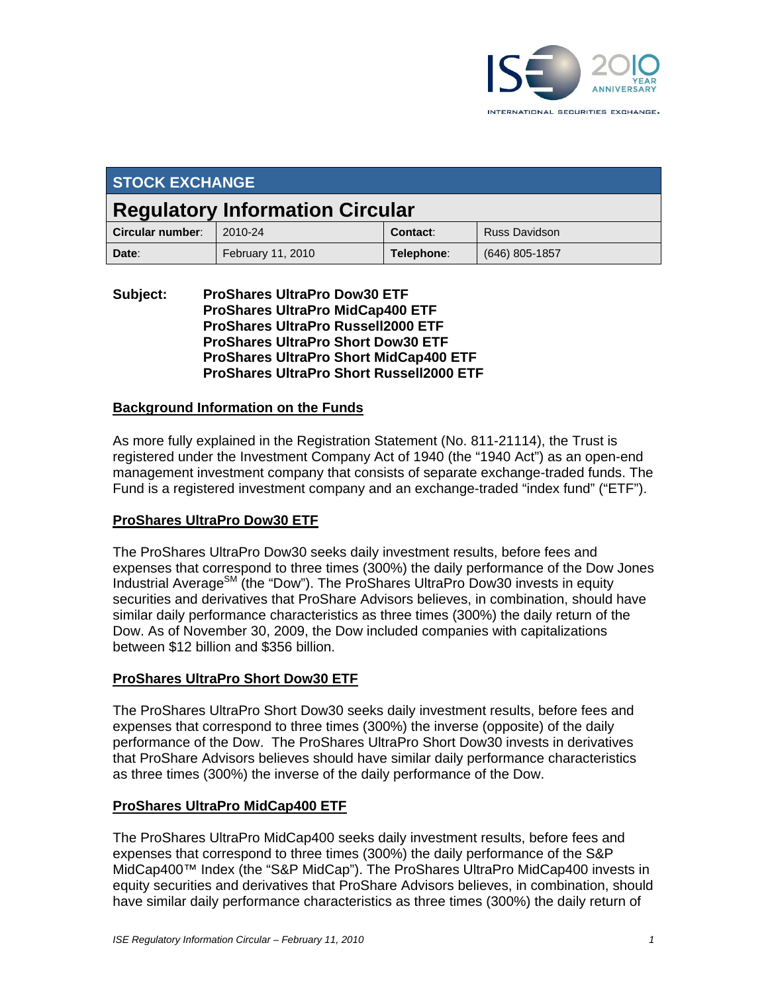

| <b>STOCK EXCHANGE</b>                  |                   |            |                      |  |
|----------------------------------------|-------------------|------------|----------------------|--|
| <b>Regulatory Information Circular</b> |                   |            |                      |  |
| Circular number:                       | 2010-24           | Contact:   | <b>Russ Davidson</b> |  |
| Date:                                  | February 11, 2010 | Telephone: | $(646)$ 805-1857     |  |

### **Subject: ProShares UltraPro Dow30 ETF ProShares UltraPro MidCap400 ETF ProShares UltraPro Russell2000 ETF ProShares UltraPro Short Dow30 ETF ProShares UltraPro Short MidCap400 ETF ProShares UltraPro Short Russell2000 ETF**

### **Background Information on the Funds**

As more fully explained in the Registration Statement (No. 811-21114), the Trust is registered under the Investment Company Act of 1940 (the "1940 Act") as an open-end management investment company that consists of separate exchange-traded funds. The Fund is a registered investment company and an exchange-traded "index fund" ("ETF").

# **ProShares UltraPro Dow30 ETF**

The ProShares UltraPro Dow30 seeks daily investment results, before fees and expenses that correspond to three times (300%) the daily performance of the Dow Jones Industrial Average<sup>SM</sup> (the "Dow"). The ProShares UltraPro Dow30 invests in equity securities and derivatives that ProShare Advisors believes, in combination, should have similar daily performance characteristics as three times (300%) the daily return of the Dow. As of November 30, 2009, the Dow included companies with capitalizations between \$12 billion and \$356 billion.

# **ProShares UltraPro Short Dow30 ETF**

The ProShares UltraPro Short Dow30 seeks daily investment results, before fees and expenses that correspond to three times (300%) the inverse (opposite) of the daily performance of the Dow. The ProShares UltraPro Short Dow30 invests in derivatives that ProShare Advisors believes should have similar daily performance characteristics as three times (300%) the inverse of the daily performance of the Dow.

#### **ProShares UltraPro MidCap400 ETF**

The ProShares UltraPro MidCap400 seeks daily investment results, before fees and expenses that correspond to three times (300%) the daily performance of the S&P MidCap400™ Index (the "S&P MidCap"). The ProShares UltraPro MidCap400 invests in equity securities and derivatives that ProShare Advisors believes, in combination, should have similar daily performance characteristics as three times (300%) the daily return of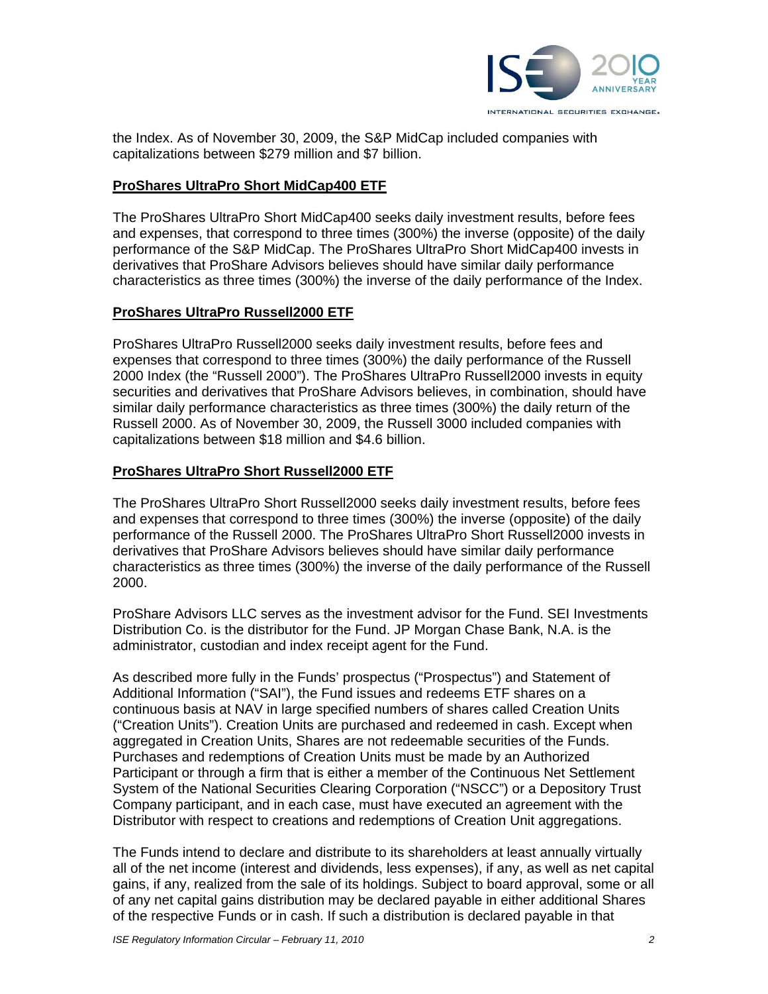

the Index. As of November 30, 2009, the S&P MidCap included companies with capitalizations between \$279 million and \$7 billion.

### **ProShares UltraPro Short MidCap400 ETF**

The ProShares UltraPro Short MidCap400 seeks daily investment results, before fees and expenses, that correspond to three times (300%) the inverse (opposite) of the daily performance of the S&P MidCap. The ProShares UltraPro Short MidCap400 invests in derivatives that ProShare Advisors believes should have similar daily performance characteristics as three times (300%) the inverse of the daily performance of the Index.

### **ProShares UltraPro Russell2000 ETF**

ProShares UltraPro Russell2000 seeks daily investment results, before fees and expenses that correspond to three times (300%) the daily performance of the Russell 2000 Index (the "Russell 2000"). The ProShares UltraPro Russell2000 invests in equity securities and derivatives that ProShare Advisors believes, in combination, should have similar daily performance characteristics as three times (300%) the daily return of the Russell 2000. As of November 30, 2009, the Russell 3000 included companies with capitalizations between \$18 million and \$4.6 billion.

### **ProShares UltraPro Short Russell2000 ETF**

The ProShares UltraPro Short Russell2000 seeks daily investment results, before fees and expenses that correspond to three times (300%) the inverse (opposite) of the daily performance of the Russell 2000. The ProShares UltraPro Short Russell2000 invests in derivatives that ProShare Advisors believes should have similar daily performance characteristics as three times (300%) the inverse of the daily performance of the Russell 2000.

ProShare Advisors LLC serves as the investment advisor for the Fund. SEI Investments Distribution Co. is the distributor for the Fund. JP Morgan Chase Bank, N.A. is the administrator, custodian and index receipt agent for the Fund.

As described more fully in the Funds' prospectus ("Prospectus") and Statement of Additional Information ("SAI"), the Fund issues and redeems ETF shares on a continuous basis at NAV in large specified numbers of shares called Creation Units ("Creation Units"). Creation Units are purchased and redeemed in cash. Except when aggregated in Creation Units, Shares are not redeemable securities of the Funds. Purchases and redemptions of Creation Units must be made by an Authorized Participant or through a firm that is either a member of the Continuous Net Settlement System of the National Securities Clearing Corporation ("NSCC") or a Depository Trust Company participant, and in each case, must have executed an agreement with the Distributor with respect to creations and redemptions of Creation Unit aggregations.

The Funds intend to declare and distribute to its shareholders at least annually virtually all of the net income (interest and dividends, less expenses), if any, as well as net capital gains, if any, realized from the sale of its holdings. Subject to board approval, some or all of any net capital gains distribution may be declared payable in either additional Shares of the respective Funds or in cash. If such a distribution is declared payable in that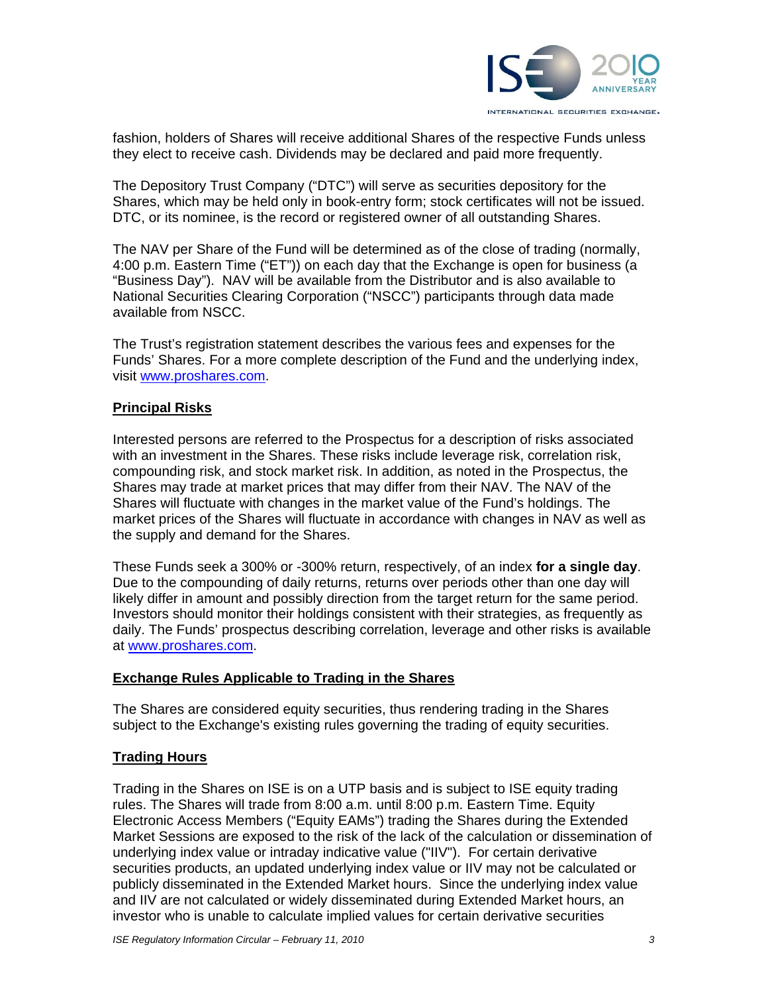

fashion, holders of Shares will receive additional Shares of the respective Funds unless they elect to receive cash. Dividends may be declared and paid more frequently.

The Depository Trust Company ("DTC") will serve as securities depository for the Shares, which may be held only in book-entry form; stock certificates will not be issued. DTC, or its nominee, is the record or registered owner of all outstanding Shares.

The NAV per Share of the Fund will be determined as of the close of trading (normally, 4:00 p.m. Eastern Time ("ET")) on each day that the Exchange is open for business (a "Business Day"). NAV will be available from the Distributor and is also available to National Securities Clearing Corporation ("NSCC") participants through data made available from NSCC.

The Trust's registration statement describes the various fees and expenses for the Funds' Shares. For a more complete description of the Fund and the underlying index, visit www.proshares.com.

### **Principal Risks**

Interested persons are referred to the Prospectus for a description of risks associated with an investment in the Shares. These risks include leverage risk, correlation risk, compounding risk, and stock market risk. In addition, as noted in the Prospectus, the Shares may trade at market prices that may differ from their NAV. The NAV of the Shares will fluctuate with changes in the market value of the Fund's holdings. The market prices of the Shares will fluctuate in accordance with changes in NAV as well as the supply and demand for the Shares.

These Funds seek a 300% or -300% return, respectively, of an index **for a single day**. Due to the compounding of daily returns, returns over periods other than one day will likely differ in amount and possibly direction from the target return for the same period. Investors should monitor their holdings consistent with their strategies, as frequently as daily. The Funds' prospectus describing correlation, leverage and other risks is available at www.proshares.com.

#### **Exchange Rules Applicable to Trading in the Shares**

The Shares are considered equity securities, thus rendering trading in the Shares subject to the Exchange's existing rules governing the trading of equity securities.

#### **Trading Hours**

Trading in the Shares on ISE is on a UTP basis and is subject to ISE equity trading rules. The Shares will trade from 8:00 a.m. until 8:00 p.m. Eastern Time. Equity Electronic Access Members ("Equity EAMs") trading the Shares during the Extended Market Sessions are exposed to the risk of the lack of the calculation or dissemination of underlying index value or intraday indicative value ("IIV"). For certain derivative securities products, an updated underlying index value or IIV may not be calculated or publicly disseminated in the Extended Market hours. Since the underlying index value and IIV are not calculated or widely disseminated during Extended Market hours, an investor who is unable to calculate implied values for certain derivative securities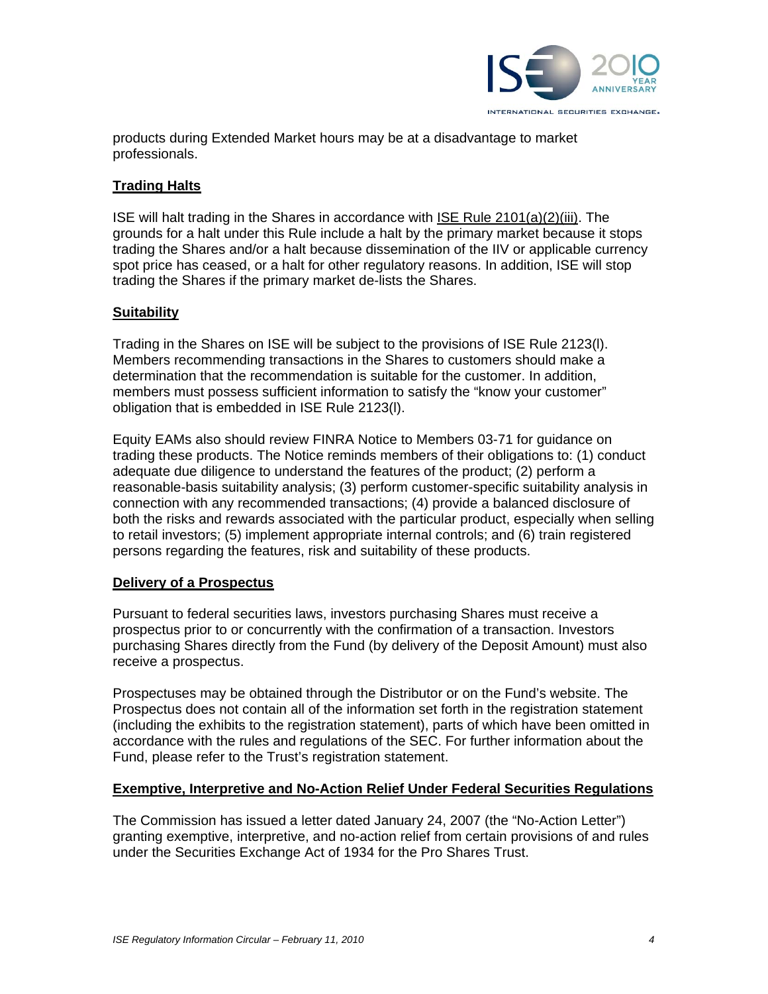

products during Extended Market hours may be at a disadvantage to market professionals.

# **Trading Halts**

ISE will halt trading in the Shares in accordance with ISE Rule 2101(a)(2)(iii). The grounds for a halt under this Rule include a halt by the primary market because it stops trading the Shares and/or a halt because dissemination of the IIV or applicable currency spot price has ceased, or a halt for other regulatory reasons. In addition, ISE will stop trading the Shares if the primary market de-lists the Shares.

### **Suitability**

Trading in the Shares on ISE will be subject to the provisions of ISE Rule 2123(l). Members recommending transactions in the Shares to customers should make a determination that the recommendation is suitable for the customer. In addition, members must possess sufficient information to satisfy the "know your customer" obligation that is embedded in ISE Rule 2123(l).

Equity EAMs also should review FINRA Notice to Members 03-71 for guidance on trading these products. The Notice reminds members of their obligations to: (1) conduct adequate due diligence to understand the features of the product; (2) perform a reasonable-basis suitability analysis; (3) perform customer-specific suitability analysis in connection with any recommended transactions; (4) provide a balanced disclosure of both the risks and rewards associated with the particular product, especially when selling to retail investors; (5) implement appropriate internal controls; and (6) train registered persons regarding the features, risk and suitability of these products.

# **Delivery of a Prospectus**

Pursuant to federal securities laws, investors purchasing Shares must receive a prospectus prior to or concurrently with the confirmation of a transaction. Investors purchasing Shares directly from the Fund (by delivery of the Deposit Amount) must also receive a prospectus.

Prospectuses may be obtained through the Distributor or on the Fund's website. The Prospectus does not contain all of the information set forth in the registration statement (including the exhibits to the registration statement), parts of which have been omitted in accordance with the rules and regulations of the SEC. For further information about the Fund, please refer to the Trust's registration statement.

#### **Exemptive, Interpretive and No-Action Relief Under Federal Securities Regulations**

The Commission has issued a letter dated January 24, 2007 (the "No-Action Letter") granting exemptive, interpretive, and no-action relief from certain provisions of and rules under the Securities Exchange Act of 1934 for the Pro Shares Trust.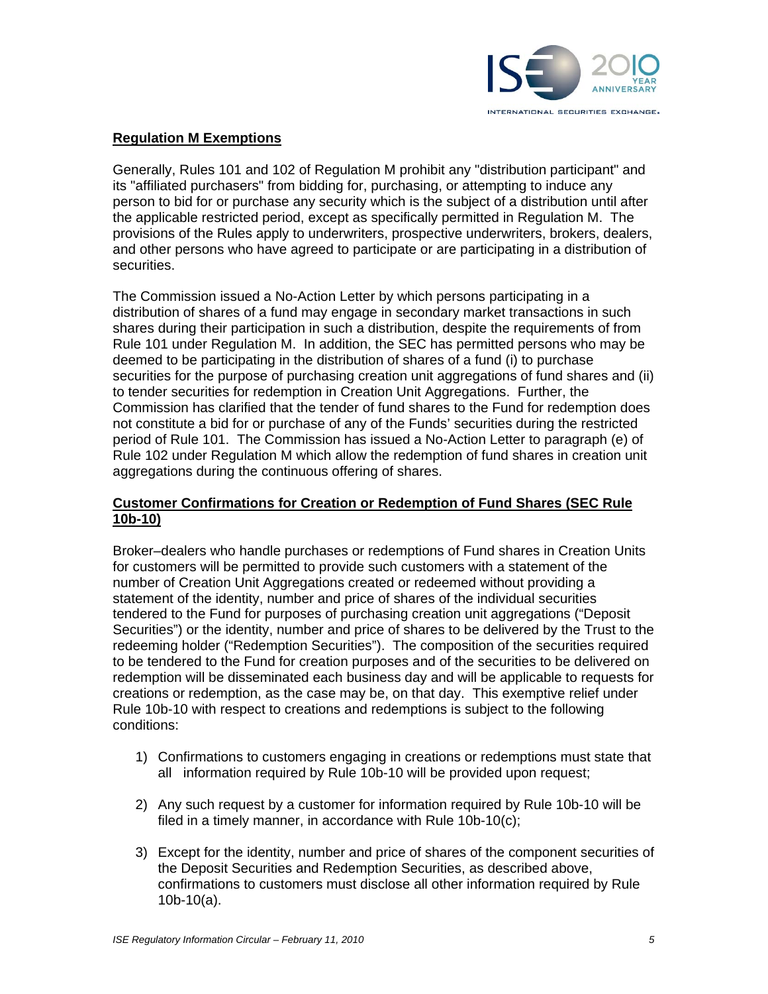

# **Regulation M Exemptions**

Generally, Rules 101 and 102 of Regulation M prohibit any "distribution participant" and its "affiliated purchasers" from bidding for, purchasing, or attempting to induce any person to bid for or purchase any security which is the subject of a distribution until after the applicable restricted period, except as specifically permitted in Regulation M. The provisions of the Rules apply to underwriters, prospective underwriters, brokers, dealers, and other persons who have agreed to participate or are participating in a distribution of securities.

The Commission issued a No-Action Letter by which persons participating in a distribution of shares of a fund may engage in secondary market transactions in such shares during their participation in such a distribution, despite the requirements of from Rule 101 under Regulation M. In addition, the SEC has permitted persons who may be deemed to be participating in the distribution of shares of a fund (i) to purchase securities for the purpose of purchasing creation unit aggregations of fund shares and (ii) to tender securities for redemption in Creation Unit Aggregations. Further, the Commission has clarified that the tender of fund shares to the Fund for redemption does not constitute a bid for or purchase of any of the Funds' securities during the restricted period of Rule 101. The Commission has issued a No-Action Letter to paragraph (e) of Rule 102 under Regulation M which allow the redemption of fund shares in creation unit aggregations during the continuous offering of shares.

### **Customer Confirmations for Creation or Redemption of Fund Shares (SEC Rule 10b-10)**

Broker–dealers who handle purchases or redemptions of Fund shares in Creation Units for customers will be permitted to provide such customers with a statement of the number of Creation Unit Aggregations created or redeemed without providing a statement of the identity, number and price of shares of the individual securities tendered to the Fund for purposes of purchasing creation unit aggregations ("Deposit Securities") or the identity, number and price of shares to be delivered by the Trust to the redeeming holder ("Redemption Securities"). The composition of the securities required to be tendered to the Fund for creation purposes and of the securities to be delivered on redemption will be disseminated each business day and will be applicable to requests for creations or redemption, as the case may be, on that day. This exemptive relief under Rule 10b-10 with respect to creations and redemptions is subject to the following conditions:

- 1) Confirmations to customers engaging in creations or redemptions must state that all information required by Rule 10b-10 will be provided upon request;
- 2) Any such request by a customer for information required by Rule 10b-10 will be filed in a timely manner, in accordance with Rule 10b-10(c);
- 3) Except for the identity, number and price of shares of the component securities of the Deposit Securities and Redemption Securities, as described above, confirmations to customers must disclose all other information required by Rule 10b-10(a).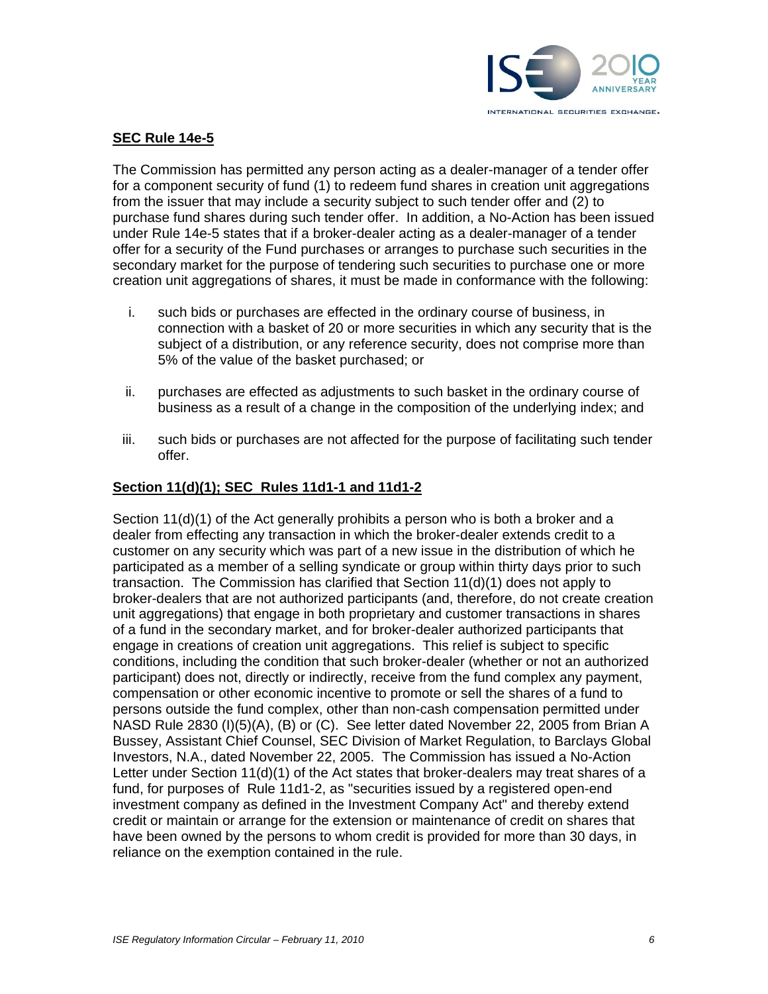

# **SEC Rule 14e-5**

The Commission has permitted any person acting as a dealer-manager of a tender offer for a component security of fund (1) to redeem fund shares in creation unit aggregations from the issuer that may include a security subject to such tender offer and (2) to purchase fund shares during such tender offer. In addition, a No-Action has been issued under Rule 14e-5 states that if a broker-dealer acting as a dealer-manager of a tender offer for a security of the Fund purchases or arranges to purchase such securities in the secondary market for the purpose of tendering such securities to purchase one or more creation unit aggregations of shares, it must be made in conformance with the following:

- i. such bids or purchases are effected in the ordinary course of business, in connection with a basket of 20 or more securities in which any security that is the subject of a distribution, or any reference security, does not comprise more than 5% of the value of the basket purchased; or
- ii. purchases are effected as adjustments to such basket in the ordinary course of business as a result of a change in the composition of the underlying index; and
- iii. such bids or purchases are not affected for the purpose of facilitating such tender offer.

### **Section 11(d)(1); SEC Rules 11d1-1 and 11d1-2**

Section 11(d)(1) of the Act generally prohibits a person who is both a broker and a dealer from effecting any transaction in which the broker-dealer extends credit to a customer on any security which was part of a new issue in the distribution of which he participated as a member of a selling syndicate or group within thirty days prior to such transaction. The Commission has clarified that Section 11(d)(1) does not apply to broker-dealers that are not authorized participants (and, therefore, do not create creation unit aggregations) that engage in both proprietary and customer transactions in shares of a fund in the secondary market, and for broker-dealer authorized participants that engage in creations of creation unit aggregations. This relief is subject to specific conditions, including the condition that such broker-dealer (whether or not an authorized participant) does not, directly or indirectly, receive from the fund complex any payment, compensation or other economic incentive to promote or sell the shares of a fund to persons outside the fund complex, other than non-cash compensation permitted under NASD Rule 2830 (I)(5)(A), (B) or (C). See letter dated November 22, 2005 from Brian A Bussey, Assistant Chief Counsel, SEC Division of Market Regulation, to Barclays Global Investors, N.A., dated November 22, 2005. The Commission has issued a No-Action Letter under Section 11(d)(1) of the Act states that broker-dealers may treat shares of a fund, for purposes of Rule 11d1-2, as "securities issued by a registered open-end investment company as defined in the Investment Company Act" and thereby extend credit or maintain or arrange for the extension or maintenance of credit on shares that have been owned by the persons to whom credit is provided for more than 30 days, in reliance on the exemption contained in the rule.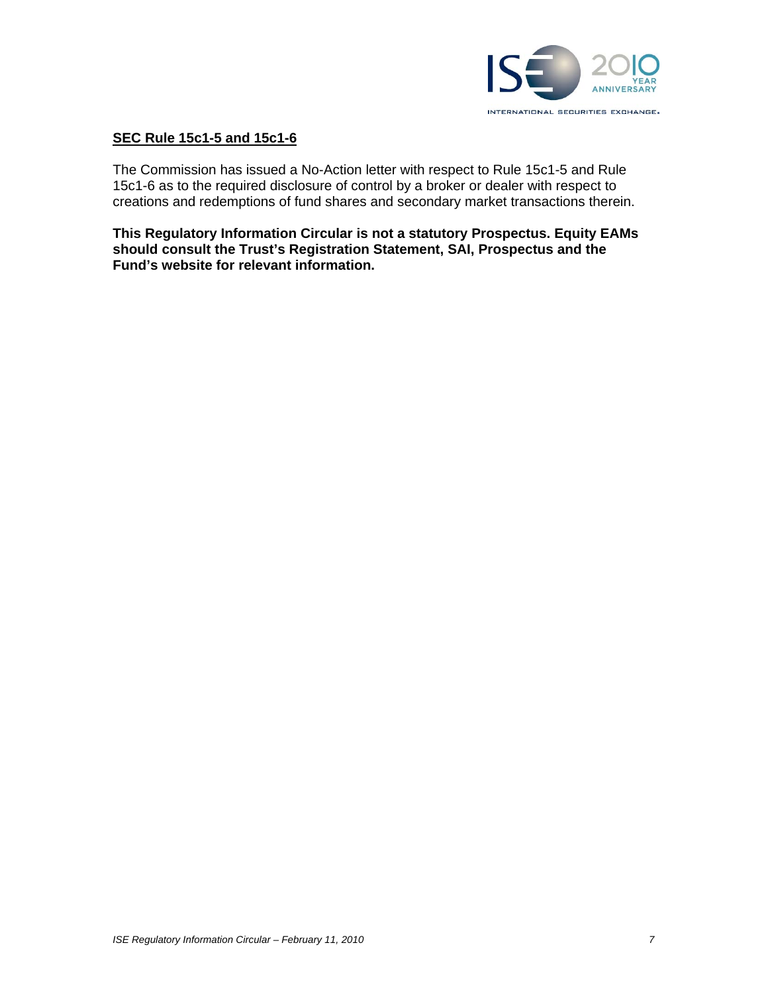

# **SEC Rule 15c1-5 and 15c1-6**

The Commission has issued a No-Action letter with respect to Rule 15c1-5 and Rule 15c1-6 as to the required disclosure of control by a broker or dealer with respect to creations and redemptions of fund shares and secondary market transactions therein.

**This Regulatory Information Circular is not a statutory Prospectus. Equity EAMs should consult the Trust's Registration Statement, SAI, Prospectus and the Fund's website for relevant information.**